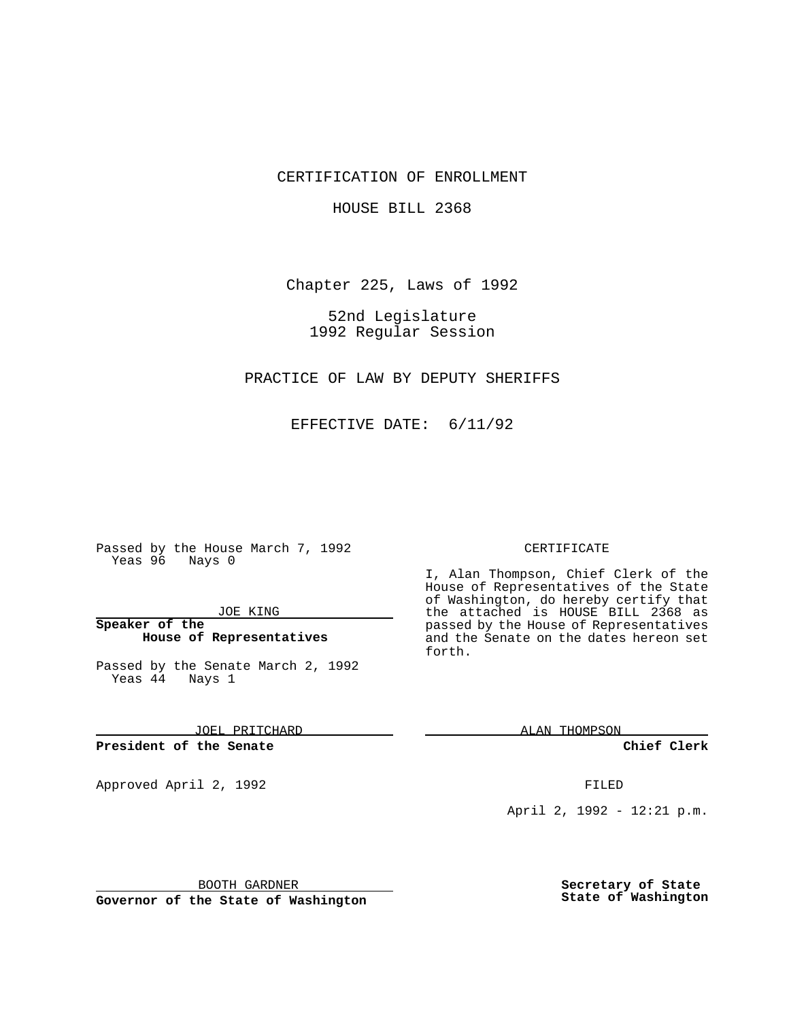CERTIFICATION OF ENROLLMENT

HOUSE BILL 2368

Chapter 225, Laws of 1992

52nd Legislature 1992 Regular Session

PRACTICE OF LAW BY DEPUTY SHERIFFS

EFFECTIVE DATE: 6/11/92

Passed by the House March 7, 1992 Yeas 96 Nays 0

JOE KING

**Speaker of the House of Representatives**

Passed by the Senate March 2, 1992 Yeas 44 Nays 1

JOEL PRITCHARD

**President of the Senate**

Approved April 2, 1992 **FILED** 

BOOTH GARDNER

**Governor of the State of Washington**

## CERTIFICATE

I, Alan Thompson, Chief Clerk of the House of Representatives of the State of Washington, do hereby certify that the attached is HOUSE BILL 2368 as passed by the House of Representatives and the Senate on the dates hereon set forth.

ALAN THOMPSON

**Chief Clerk**

April 2, 1992 - 12:21 p.m.

**Secretary of State State of Washington**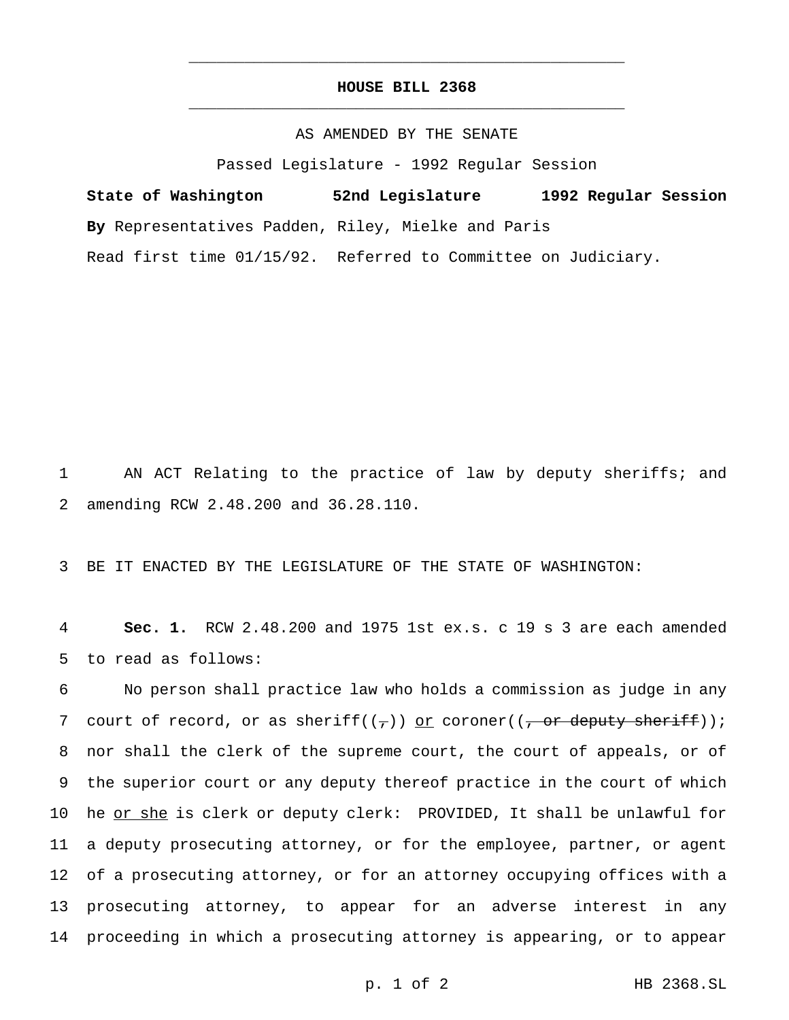## **HOUSE BILL 2368** \_\_\_\_\_\_\_\_\_\_\_\_\_\_\_\_\_\_\_\_\_\_\_\_\_\_\_\_\_\_\_\_\_\_\_\_\_\_\_\_\_\_\_\_\_\_\_

\_\_\_\_\_\_\_\_\_\_\_\_\_\_\_\_\_\_\_\_\_\_\_\_\_\_\_\_\_\_\_\_\_\_\_\_\_\_\_\_\_\_\_\_\_\_\_

## AS AMENDED BY THE SENATE

Passed Legislature - 1992 Regular Session

**State of Washington 52nd Legislature 1992 Regular Session By** Representatives Padden, Riley, Mielke and Paris Read first time 01/15/92. Referred to Committee on Judiciary.

1 AN ACT Relating to the practice of law by deputy sheriffs; and 2 amending RCW 2.48.200 and 36.28.110.

3 BE IT ENACTED BY THE LEGISLATURE OF THE STATE OF WASHINGTON:

4 **Sec. 1.** RCW 2.48.200 and 1975 1st ex.s. c 19 s 3 are each amended 5 to read as follows:

 No person shall practice law who holds a commission as judge in any 7 court of record, or as sheriff( $(\tau)$ ) or coroner( $(\tau)$  or deputy sheriff)); nor shall the clerk of the supreme court, the court of appeals, or of the superior court or any deputy thereof practice in the court of which 10 he or she is clerk or deputy clerk: PROVIDED, It shall be unlawful for a deputy prosecuting attorney, or for the employee, partner, or agent of a prosecuting attorney, or for an attorney occupying offices with a prosecuting attorney, to appear for an adverse interest in any proceeding in which a prosecuting attorney is appearing, or to appear